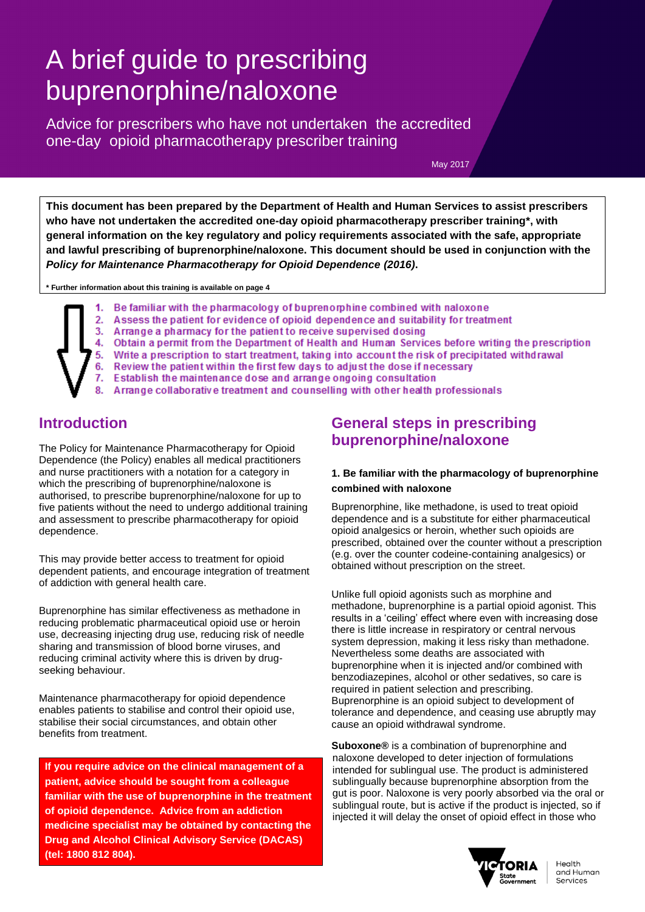# A brief guide to prescribing buprenorphine/naloxone

Advice for prescribers who have not undertaken the accredited one-day opioid pharmacotherapy prescriber training

May 2017

**This document has been prepared by the Department of Health and Human Services to assist prescribers who have not undertaken the accredited one-day opioid pharmacotherapy prescriber training\*, with general information on the key regulatory and policy requirements associated with the safe, appropriate and lawful prescribing of buprenorphine/naloxone. This document should be used in conjunction with the** *Policy for Maintenance Pharmacotherapy for Opioid Dependence (2016)***.** 

**\* Further information about this training is available on page 4**

- Be familiar with the pharmacology of buprenomhine combined with naloxone 1.
- 2. Assess the patient for evidence of opioid dependence and suitability for treatment
- 3. Arrange a pharmacy for the patient to receive supervised dosing
	- 4. Obtain a permit from the Department of Health and Human Services before writing the prescription
- 5. Write a prescription to start treatment, taking into account the risk of precipitated withdrawal
- 6. Review the patient within the first few days to adjust the dose if necessary
- 7. Establish the maintenance dose and arrange ongoing consultation
- Arrange collaborative treatment and counselling with other health professionals

## **Introduction**

The [Policy for Maintenance Pharmacotherapy for Opioid](http://docs.health.vic.gov.au/docs/doc/F41321F8CFC269C6CA257B0400075C1B/$FILE/Pharmacotherapy%20Policy%202013-v02.pdf)  [Dependence](http://docs.health.vic.gov.au/docs/doc/F41321F8CFC269C6CA257B0400075C1B/$FILE/Pharmacotherapy%20Policy%202013-v02.pdf) (the Policy) enables all medical practitioners and nurse practitioners with a notation for a category in which the prescribing of buprenorphine/naloxone is authorised, to prescribe buprenorphine/naloxone for up to five patients without the need to undergo additional training and assessment to prescribe pharmacotherapy for opioid dependence.

This may provide better access to treatment for opioid dependent patients, and encourage integration of treatment of addiction with general health care.

Buprenorphine has similar effectiveness as methadone in reducing problematic pharmaceutical opioid use or heroin use, decreasing injecting drug use, reducing risk of needle sharing and transmission of blood borne viruses, and reducing criminal activity where this is driven by drugseeking behaviour.

Maintenance pharmacotherapy for opioid dependence enables patients to stabilise and control their opioid use, stabilise their social circumstances, and obtain other benefits from treatment.

**If you require advice on the clinical management of a patient, advice should be sought from a colleague familiar with the use of buprenorphine in the treatment of opioid dependence. Advice from an addiction medicine specialist may be obtained by contacting the Drug and Alcohol Clinical Advisory Service (DACAS) (tel: 1800 812 804).**

# **General steps in prescribing buprenorphine/naloxone**

#### **1. Be familiar with the pharmacology of buprenorphine combined with naloxone**

Buprenorphine, like methadone, is used to treat opioid dependence and is a substitute for either pharmaceutical opioid analgesics or heroin, whether such opioids are prescribed, obtained over the counter without a prescription (e.g. over the counter codeine-containing analgesics) or obtained without prescription on the street.

Unlike full opioid agonists such as morphine and methadone, buprenorphine is a partial opioid agonist. This results in a 'ceiling' effect where even with increasing dose there is little increase in respiratory or central nervous system depression, making it less risky than methadone. Nevertheless some deaths are associated with buprenorphine when it is injected and/or combined with benzodiazepines, alcohol or other sedatives, so care is required in patient selection and prescribing. Buprenorphine is an opioid subject to development of tolerance and dependence, and ceasing use abruptly may cause an opioid withdrawal syndrome.

**Suboxone®** is a combination of buprenorphine and naloxone developed to deter injection of formulations intended for sublingual use. The product is administered sublingually because buprenorphine absorption from the gut is poor. Naloxone is very poorly absorbed via the oral or sublingual route, but is active if the product is injected, so if injected it will delay the onset of opioid effect in those who



Health and Human Services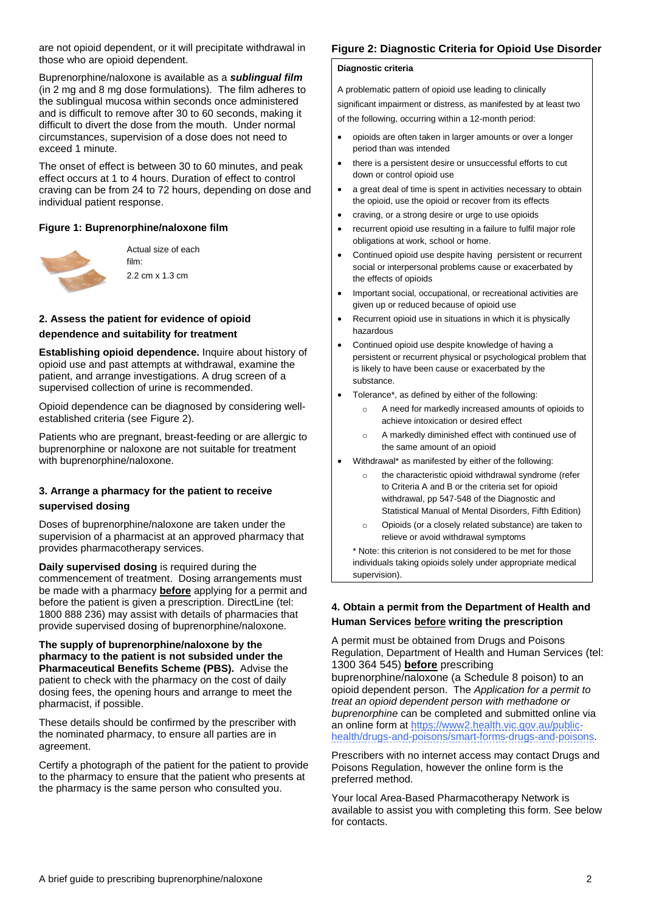are not opioid dependent, or it will precipitate withdrawal in those who are opioid dependent.

Buprenorphine/naloxone is available as a *sublingual film* (in 2 mg and 8 mg dose formulations). The film adheres to the sublingual mucosa within seconds once administered and is difficult to remove after 30 to 60 seconds, making it difficult to divert the dose from the mouth. Under normal circumstances, supervision of a dose does not need to exceed 1 minute.

The onset of effect is between 30 to 60 minutes, and peak effect occurs at 1 to 4 hours. Duration of effect to control craving can be from 24 to 72 hours, depending on dose and individual patient response.

#### **Figure 1: Buprenorphine/naloxone film**



Actual size of each film: 2.2 cm x 1.3 cm

#### **2. Assess the patient for evidence of opioid dependence and suitability for treatment**

**Establishing opioid dependence.** Inquire about history of opioid use and past attempts at withdrawal, examine the patient, and arrange investigations. A drug screen of a supervised collection of urine is recommended.

Opioid dependence can be diagnosed by considering wellestablished criteria (see Figure 2).

Patients who are pregnant, breast-feeding or are allergic to buprenorphine or naloxone are not suitable for treatment with buprenorphine/naloxone.

# **3. Arrange a pharmacy for the patient to receive**

#### **supervised dosing**

Doses of buprenorphine/naloxone are taken under the supervision of a pharmacist at an approved pharmacy that provides pharmacotherapy services.

**Daily supervised dosing** is required during the commencement of treatment. Dosing arrangements must be made with a pharmacy **before** applying for a permit and before the patient is given a prescription. DirectLine (tel: 1800 888 236) may assist with details of pharmacies that provide supervised dosing of buprenorphine/naloxone.

#### **The supply of buprenorphine/naloxone by the pharmacy to the patient is not subsided under the Pharmaceutical Benefits Scheme (PBS).** Advise the patient to check with the pharmacy on the cost of daily dosing fees, the opening hours and arrange to meet the pharmacist, if possible.

These details should be confirmed by the prescriber with the nominated pharmacy, to ensure all parties are in agreement.

Certify a photograph of the patient for the patient to provide to the pharmacy to ensure that the patient who presents at the pharmacy is the same person who consulted you.

### **Figure 2: Diagnostic Criteria for Opioid Use Disorder**

#### **Diagnostic criteria**

A problematic pattern of opioid use leading to clinically significant impairment or distress, as manifested by at least two of the following, occurring within a 12-month period:

- opioids are often taken in larger amounts or over a longer period than was intended
- there is a persistent desire or unsuccessful efforts to cut down or control opioid use
- a great deal of time is spent in activities necessary to obtain the opioid, use the opioid or recover from its effects
- craving, or a strong desire or urge to use opioids
- recurrent opioid use resulting in a failure to fulfil major role obligations at work, school or home.
- Continued opioid use despite having persistent or recurrent social or interpersonal problems cause or exacerbated by the effects of opioids
- Important social, occupational, or recreational activities are given up or reduced because of opioid use
- Recurrent opioid use in situations in which it is physically hazardous
- Continued opioid use despite knowledge of having a persistent or recurrent physical or psychological problem that is likely to have been cause or exacerbated by the substance.
- Tolerance\*, as defined by either of the following:
	- o A need for markedly increased amounts of opioids to achieve intoxication or desired effect
	- o A markedly diminished effect with continued use of the same amount of an opioid
- Withdrawal\* as manifested by either of the following:
	- o the characteristic opioid withdrawal syndrome (refer to Criteria A and B or the criteria set for opioid withdrawal, pp 547-548 of the Diagnostic and Statistical Manual of Mental Disorders, Fifth Edition)
	- o Opioids (or a closely related substance) are taken to relieve or avoid withdrawal symptoms

\* Note: this criterion is not considered to be met for those individuals taking opioids solely under appropriate medical supervision).

#### **4. Obtain a permit from the Department of Health and Human Services before writing the prescription**

A permit must be obtained from Drugs and Poisons Regulation, Department of Health and Human Services (tel: 1300 364 545) **before** prescribing

buprenorphine/naloxone (a Schedule 8 poison) to an opioid dependent person. The *Application for a permit to treat an opioid dependent person with methadone or buprenorphine* can be completed and submitted online via an online form at [https://www2.health.vic.gov.au/public](https://www2.health.vic.gov.au/public-health/drugs-and-poisons/smart-forms-drugs-and-poisons)[health/drugs-and-poisons/smart-forms-drugs-and-poisons.](https://www2.health.vic.gov.au/public-health/drugs-and-poisons/smart-forms-drugs-and-poisons)

Prescribers with no internet access may contact Drugs and Poisons Regulation, however the online form is the preferred method.

Your local Area-Based Pharmacotherapy Network is available to assist you with completing this form. See below for contacts.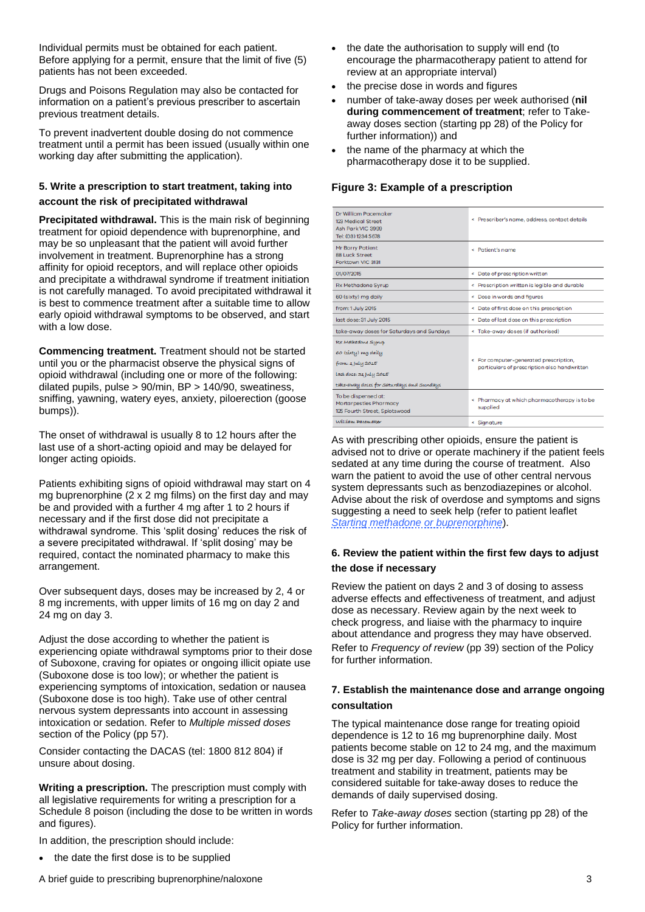Individual permits must be obtained for each patient. Before applying for a permit, ensure that the limit of five (5) patients has not been exceeded.

Drugs and Poisons Regulation may also be contacted for information on a patient's previous prescriber to ascertain previous treatment details.

To prevent inadvertent double dosing do not commence treatment until a permit has been issued (usually within one working day after submitting the application).

#### **5. Write a prescription to start treatment, taking into**

#### **account the risk of precipitated withdrawal**

**Precipitated withdrawal.** This is the main risk of beginning treatment for opioid dependence with buprenorphine, and may be so unpleasant that the patient will avoid further involvement in treatment. Buprenorphine has a strong affinity for opioid receptors, and will replace other opioids and precipitate a withdrawal syndrome if treatment initiation is not carefully managed. To avoid precipitated withdrawal it is best to commence treatment after a suitable time to allow early opioid withdrawal symptoms to be observed, and start with a low dose.

**Commencing treatment.** Treatment should not be started until you or the pharmacist observe the physical signs of opioid withdrawal (including one or more of the following: dilated pupils, pulse > 90/min, BP > 140/90, sweatiness, sniffing, yawning, watery eyes, anxiety, piloerection (goose bumps)).

The onset of withdrawal is usually 8 to 12 hours after the last use of a short-acting opioid and may be delayed for longer acting opioids.

Patients exhibiting signs of opioid withdrawal may start on 4 mg buprenorphine (2 x 2 mg films) on the first day and may be and provided with a further 4 mg after 1 to 2 hours if necessary and if the first dose did not precipitate a withdrawal syndrome. This 'split dosing' reduces the risk of a severe precipitated withdrawal. If 'split dosing' may be required, contact the nominated pharmacy to make this arrangement.

Over subsequent days, doses may be increased by 2, 4 or 8 mg increments, with upper limits of 16 mg on day 2 and 24 mg on day 3.

Adjust the dose according to whether the patient is experiencing opiate withdrawal symptoms prior to their dose of Suboxone, craving for opiates or ongoing illicit opiate use (Suboxone dose is too low); or whether the patient is experiencing symptoms of intoxication, sedation or nausea (Suboxone dose is too high). Take use of other central nervous system depressants into account in assessing intoxication or sedation. Refer to *Multiple missed doses* section of the Policy (pp 57).

Consider contacting the DACAS (tel: 1800 812 804) if unsure about dosing.

**Writing a prescription.** The prescription must comply with all legislative requirements for writing a prescription for a Schedule 8 poison (including the dose to be written in words and figures).

In addition, the prescription should include:

• the date the first dose is to be supplied

- the date the authorisation to supply will end (to encourage the pharmacotherapy patient to attend for review at an appropriate interval)
- the precise dose in words and figures
- number of take-away doses per week authorised (**nil during commencement of treatment**; refer to Takeaway doses section (starting pp 28) of the Policy for further information)) and
- the name of the pharmacy at which the pharmacotherapy dose it to be supplied.

#### **Figure 3: Example of a prescription**

| Dr William Pacemaker<br>123 Medical Street<br>Ash Park VIC 3999<br>Tel: (03) 1234 5678<br>Mr Barry Patient                                     | « Prescriber's name, address, contact details<br>< Patient's name                      |
|------------------------------------------------------------------------------------------------------------------------------------------------|----------------------------------------------------------------------------------------|
| <b>88 Luck Street</b><br>Forktown VIC 3131                                                                                                     |                                                                                        |
| 01/07/2015                                                                                                                                     | < Date of prescription written                                                         |
| <b>Rx Methadone Syrup</b>                                                                                                                      | < Prescription written is legible and durable                                          |
| 60 (sixty) mg daily                                                                                                                            | < Dose in words and figures                                                            |
| from: 1 July 2015                                                                                                                              | < Date of first dose on this prescription                                              |
| last dose: 31 July 2015                                                                                                                        | < Date of last dose on this prescription                                               |
| take-away doses for Saturdays and Sundays                                                                                                      | < Take-away doses (if authorised)                                                      |
| <b>FEX Methadone Syrup</b><br>60 (síxty) mg daily<br>from: 1 July 2015<br>last dose: 31 July 2015<br>take-away doses for Saturdays and Sundays | < For computer-generated prescription,<br>particulars of prescription also handwritten |
| To be dispensed at:<br>Mortarpestles Pharmacy<br>125 Fourth Street, Splotswood                                                                 | < Pharmacy at which pharmacotherapy is to be<br>supplied                               |
| William Pacemaker                                                                                                                              | < Signature                                                                            |

As with prescribing other opioids, ensure the patient is advised not to drive or operate machinery if the patient feels sedated at any time during the course of treatment. Also warn the patient to avoid the use of other central nervous system depressants such as benzodiazepines or alcohol. Advise about the risk of overdose and symptoms and signs suggesting a need to seek help (refer to patient leaflet *[Starting methadone or buprenorphine](http://docs.health.vic.gov.au/docs/doc/D1792B7A6E2979E3CA25789A001C30A1/$FILE/Starting%20methodone%20or%20buprenorphine_Jan%202013%20update.pdf)*).

#### **6. Review the patient within the first few days to adjust the dose if necessary**

Review the patient on days 2 and 3 of dosing to assess adverse effects and effectiveness of treatment, and adjust dose as necessary. Review again by the next week to check progress, and liaise with the pharmacy to inquire about attendance and progress they may have observed. Refer to *Frequency of review* (pp 39) section of the Policy for further information.

#### **7. Establish the maintenance dose and arrange ongoing consultation**

The typical maintenance dose range for treating opioid dependence is 12 to 16 mg buprenorphine daily. Most patients become stable on 12 to 24 mg, and the maximum dose is 32 mg per day. Following a period of continuous treatment and stability in treatment, patients may be considered suitable for take-away doses to reduce the demands of daily supervised dosing.

Refer to *Take-away doses* section (starting pp 28) of the Policy for further information.

A brief guide to prescribing buprenorphine/naloxone 3